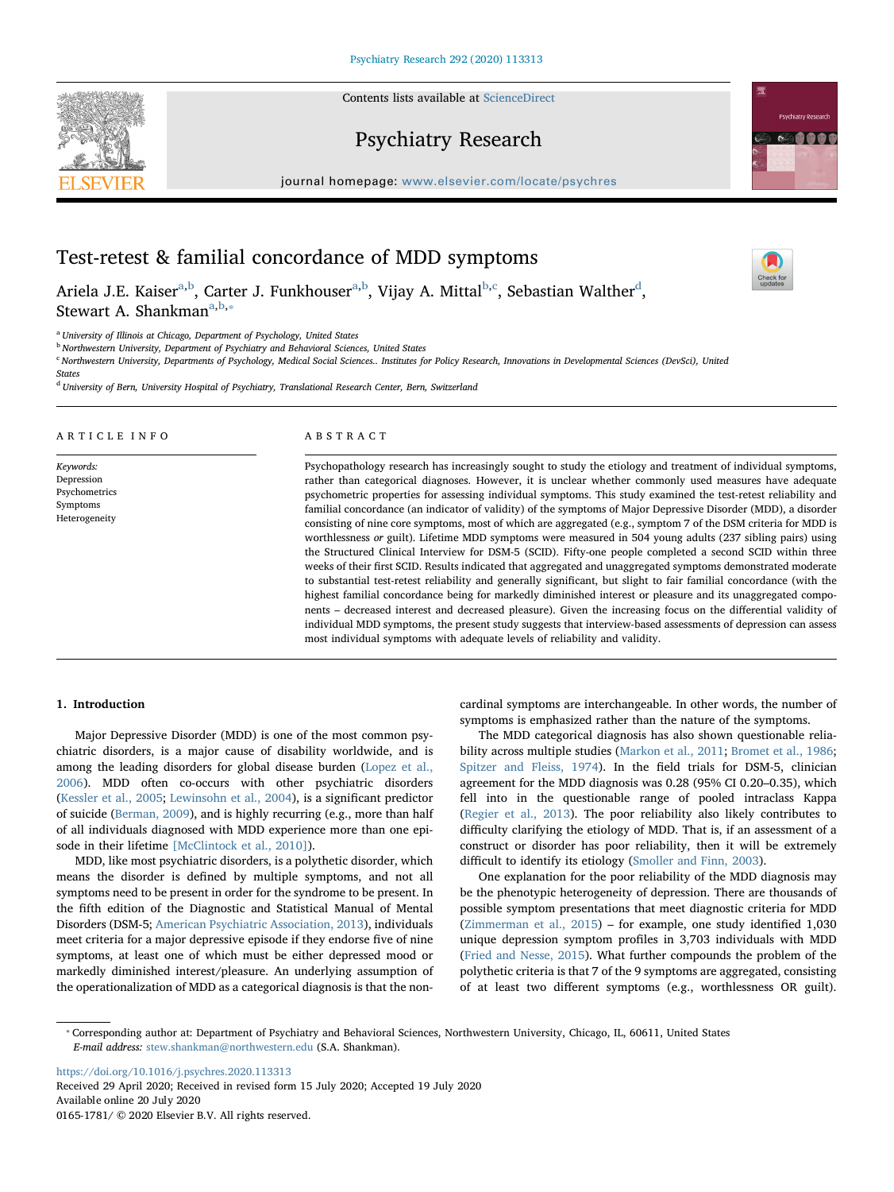Contents lists available at [ScienceDirect](http://www.sciencedirect.com/science/journal/01651781)





 $\frac{N}{2}$ 

# Psychiatry Research

journal homepage: [www.elsevier.com/locate/psychres](https://www.elsevier.com/locate/psychres)

# Test-retest & familial concordance of MDD symptoms

Ariela J.E. Kaiser<sup>[a,](#page-0-0)[b](#page-0-1)</sup>, Carter J. Funkhouser<sup>a,b</sup>, Vijay A. Mittal<sup>[b,](#page-0-1)[c](#page-0-2)</sup>, Sebastian Walther<sup>[d](#page-0-3)</sup>, Stew[a](#page-0-0)rt A. Shankman<sup>a[,b,](#page-0-1)\*</sup>

<span id="page-0-0"></span><sup>a</sup> University of Illinois at Chicago, Department of Psychology, United States

<span id="page-0-1"></span>**b Northwestern University, Department of Psychiatry and Behavioral Sciences, United States** 

<span id="page-0-2"></span><sup>c</sup> Northwestern University, Departments of Psychology, Medical Social Sciences.. Institutes for Policy Research, Innovations in Developmental Sciences (DevSci), United

**States** 

<span id="page-0-3"></span><sup>d</sup> University of Bern, University Hospital of Psychiatry, Translational Research Center, Bern, Switzerland

### ARTICLE INFO

Keywords: Depression Psychometrics Symptoms Heterogeneity

#### ABSTRACT

Psychopathology research has increasingly sought to study the etiology and treatment of individual symptoms, rather than categorical diagnoses. However, it is unclear whether commonly used measures have adequate psychometric properties for assessing individual symptoms. This study examined the test-retest reliability and familial concordance (an indicator of validity) of the symptoms of Major Depressive Disorder (MDD), a disorder consisting of nine core symptoms, most of which are aggregated (e.g., symptom 7 of the DSM criteria for MDD is worthlessness or guilt). Lifetime MDD symptoms were measured in 504 young adults (237 sibling pairs) using the Structured Clinical Interview for DSM-5 (SCID). Fifty-one people completed a second SCID within three weeks of their first SCID. Results indicated that aggregated and unaggregated symptoms demonstrated moderate to substantial test-retest reliability and generally significant, but slight to fair familial concordance (with the highest familial concordance being for markedly diminished interest or pleasure and its unaggregated components – decreased interest and decreased pleasure). Given the increasing focus on the differential validity of individual MDD symptoms, the present study suggests that interview-based assessments of depression can assess most individual symptoms with adequate levels of reliability and validity.

## 1. Introduction

Major Depressive Disorder (MDD) is one of the most common psychiatric disorders, is a major cause of disability worldwide, and is among the leading disorders for global disease burden ([Lopez et al.,](#page-6-0) [2006\)](#page-6-0). MDD often co-occurs with other psychiatric disorders ([Kessler et al., 2005;](#page-6-1) [Lewinsohn et al., 2004](#page-6-2)), is a significant predictor of suicide ([Berman, 2009](#page-5-0)), and is highly recurring (e.g., more than half of all individuals diagnosed with MDD experience more than one episode in their lifetime [\[McClintock et al., 2010\]](#page-6-3)).

MDD, like most psychiatric disorders, is a polythetic disorder, which means the disorder is defined by multiple symptoms, and not all symptoms need to be present in order for the syndrome to be present. In the fifth edition of the Diagnostic and Statistical Manual of Mental Disorders (DSM-5; [American Psychiatric Association, 2013](#page-5-1)), individuals meet criteria for a major depressive episode if they endorse five of nine symptoms, at least one of which must be either depressed mood or markedly diminished interest/pleasure. An underlying assumption of the operationalization of MDD as a categorical diagnosis is that the noncardinal symptoms are interchangeable. In other words, the number of symptoms is emphasized rather than the nature of the symptoms.

The MDD categorical diagnosis has also shown questionable reliability across multiple studies ([Markon et al., 2011;](#page-6-4) [Bromet et al., 1986](#page-5-2); [Spitzer and Fleiss, 1974\)](#page-6-5). In the field trials for DSM-5, clinician agreement for the MDD diagnosis was 0.28 (95% CI 0.20–0.35), which fell into in the questionable range of pooled intraclass Kappa ([Regier et al., 2013\)](#page-6-6). The poor reliability also likely contributes to difficulty clarifying the etiology of MDD. That is, if an assessment of a construct or disorder has poor reliability, then it will be extremely difficult to identify its etiology ([Smoller and Finn, 2003\)](#page-6-7).

One explanation for the poor reliability of the MDD diagnosis may be the phenotypic heterogeneity of depression. There are thousands of possible symptom presentations that meet diagnostic criteria for MDD ([Zimmerman et al., 2015](#page-6-8)) – for example, one study identified 1,030 unique depression symptom profiles in 3,703 individuals with MDD ([Fried and Nesse, 2015\)](#page-5-3). What further compounds the problem of the polythetic criteria is that 7 of the 9 symptoms are aggregated, consisting of at least two different symptoms (e.g., worthlessness OR guilt).

<https://doi.org/10.1016/j.psychres.2020.113313> Received 29 April 2020; Received in revised form 15 July 2020; Accepted 19 July 2020 Available online 20 July 2020 0165-1781/ © 2020 Elsevier B.V. All rights reserved.

<span id="page-0-4"></span><sup>⁎</sup> Corresponding author at: Department of Psychiatry and Behavioral Sciences, Northwestern University, Chicago, IL, 60611, United States E-mail address: [stew.shankman@northwestern.edu](mailto:stew.shankman@northwestern.edu) (S.A. Shankman).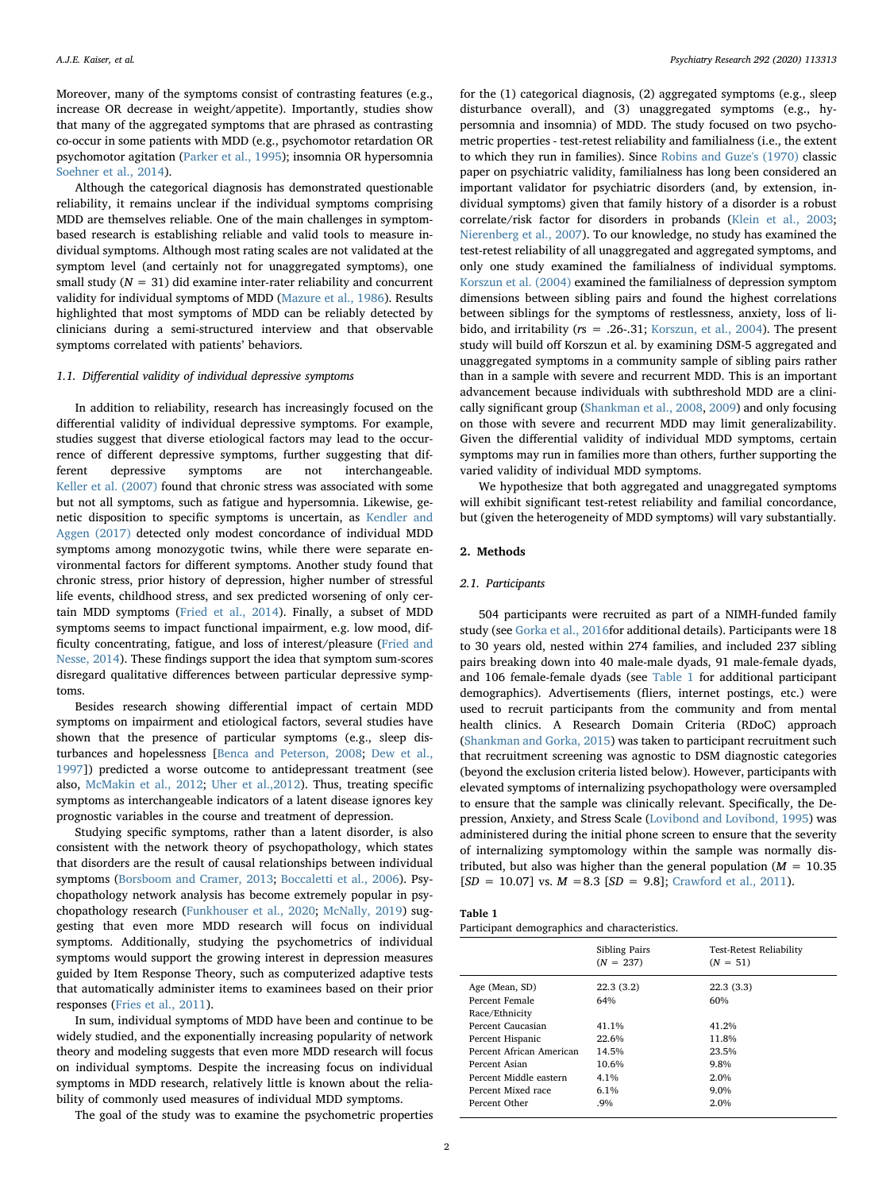Moreover, many of the symptoms consist of contrasting features (e.g., increase OR decrease in weight/appetite). Importantly, studies show that many of the aggregated symptoms that are phrased as contrasting co-occur in some patients with MDD (e.g., psychomotor retardation OR psychomotor agitation [\(Parker et al., 1995\)](#page-6-9); insomnia OR hypersomnia [Soehner et al., 2014\)](#page-6-10).

Although the categorical diagnosis has demonstrated questionable reliability, it remains unclear if the individual symptoms comprising MDD are themselves reliable. One of the main challenges in symptombased research is establishing reliable and valid tools to measure individual symptoms. Although most rating scales are not validated at the symptom level (and certainly not for unaggregated symptoms), one small study  $(N = 31)$  did examine inter-rater reliability and concurrent validity for individual symptoms of MDD ([Mazure et al., 1986](#page-6-11)). Results highlighted that most symptoms of MDD can be reliably detected by clinicians during a semi-structured interview and that observable symptoms correlated with patients' behaviors.

## 1.1. Differential validity of individual depressive symptoms

In addition to reliability, research has increasingly focused on the differential validity of individual depressive symptoms. For example, studies suggest that diverse etiological factors may lead to the occurrence of different depressive symptoms, further suggesting that different depressive symptoms are not interchangeable. [Keller et al. \(2007\)](#page-5-4) found that chronic stress was associated with some but not all symptoms, such as fatigue and hypersomnia. Likewise, genetic disposition to specific symptoms is uncertain, as [Kendler and](#page-5-5) [Aggen \(2017\)](#page-5-5) detected only modest concordance of individual MDD symptoms among monozygotic twins, while there were separate environmental factors for different symptoms. Another study found that chronic stress, prior history of depression, higher number of stressful life events, childhood stress, and sex predicted worsening of only certain MDD symptoms [\(Fried et al., 2014\)](#page-5-6). Finally, a subset of MDD symptoms seems to impact functional impairment, e.g. low mood, difficulty concentrating, fatigue, and loss of interest/pleasure [\(Fried and](#page-5-7) [Nesse, 2014\)](#page-5-7). These findings support the idea that symptom sum-scores disregard qualitative differences between particular depressive symptoms.

Besides research showing differential impact of certain MDD symptoms on impairment and etiological factors, several studies have shown that the presence of particular symptoms (e.g., sleep disturbances and hopelessness [[Benca and Peterson, 2008](#page-5-8); [Dew et al.,](#page-5-9) [1997\]](#page-5-9)) predicted a worse outcome to antidepressant treatment (see also, [McMakin et al., 2012](#page-6-12); [Uher et al.,2012](#page-6-13)). Thus, treating specific symptoms as interchangeable indicators of a latent disease ignores key prognostic variables in the course and treatment of depression.

Studying specific symptoms, rather than a latent disorder, is also consistent with the network theory of psychopathology, which states that disorders are the result of causal relationships between individual symptoms [\(Borsboom and Cramer, 2013](#page-5-10); [Boccaletti et al., 2006](#page-5-11)). Psychopathology network analysis has become extremely popular in psychopathology research [\(Funkhouser et al., 2020](#page-5-12); [McNally, 2019](#page-6-14)) suggesting that even more MDD research will focus on individual symptoms. Additionally, studying the psychometrics of individual symptoms would support the growing interest in depression measures guided by Item Response Theory, such as computerized adaptive tests that automatically administer items to examinees based on their prior responses [\(Fries et al., 2011](#page-5-13)).

In sum, individual symptoms of MDD have been and continue to be widely studied, and the exponentially increasing popularity of network theory and modeling suggests that even more MDD research will focus on individual symptoms. Despite the increasing focus on individual symptoms in MDD research, relatively little is known about the reliability of commonly used measures of individual MDD symptoms.

The goal of the study was to examine the psychometric properties

for the (1) categorical diagnosis, (2) aggregated symptoms (e.g., sleep disturbance overall), and (3) unaggregated symptoms (e.g., hypersomnia and insomnia) of MDD. The study focused on two psychometric properties - test-retest reliability and familialness (i.e., the extent to which they run in families). Since [Robins and Guze's \(1970\)](#page-6-15) classic paper on psychiatric validity, familialness has long been considered an important validator for psychiatric disorders (and, by extension, individual symptoms) given that family history of a disorder is a robust correlate/risk factor for disorders in probands ([Klein et al., 2003](#page-6-16); [Nierenberg et al., 2007\)](#page-6-17). To our knowledge, no study has examined the test-retest reliability of all unaggregated and aggregated symptoms, and only one study examined the familialness of individual symptoms. [Korszun et al. \(2004\)](#page-6-18) examined the familialness of depression symptom dimensions between sibling pairs and found the highest correlations between siblings for the symptoms of restlessness, anxiety, loss of libido, and irritability ( $rs = .26-.31$ ; [Korszun, et al., 2004](#page-6-18)). The present study will build off Korszun et al. by examining DSM-5 aggregated and unaggregated symptoms in a community sample of sibling pairs rather than in a sample with severe and recurrent MDD. This is an important advancement because individuals with subthreshold MDD are a clinically significant group ([Shankman et al., 2008](#page-6-19), [2009\)](#page-6-20) and only focusing on those with severe and recurrent MDD may limit generalizability. Given the differential validity of individual MDD symptoms, certain symptoms may run in families more than others, further supporting the varied validity of individual MDD symptoms.

We hypothesize that both aggregated and unaggregated symptoms will exhibit significant test-retest reliability and familial concordance, but (given the heterogeneity of MDD symptoms) will vary substantially.

#### 2. Methods

## 2.1. Participants

504 participants were recruited as part of a NIMH-funded family study (see [Gorka et al., 2016f](#page-5-14)or additional details). Participants were 18 to 30 years old, nested within 274 families, and included 237 sibling pairs breaking down into 40 male-male dyads, 91 male-female dyads, and 106 female-female dyads (see [Table 1](#page-1-0) for additional participant demographics). Advertisements (fliers, internet postings, etc.) were used to recruit participants from the community and from mental health clinics. A Research Domain Criteria (RDoC) approach ([Shankman and Gorka, 2015\)](#page-6-21) was taken to participant recruitment such that recruitment screening was agnostic to DSM diagnostic categories (beyond the exclusion criteria listed below). However, participants with elevated symptoms of internalizing psychopathology were oversampled to ensure that the sample was clinically relevant. Specifically, the Depression, Anxiety, and Stress Scale [\(Lovibond and Lovibond, 1995\)](#page-6-22) was administered during the initial phone screen to ensure that the severity of internalizing symptomology within the sample was normally distributed, but also was higher than the general population ( $M = 10.35$ )  $[SD = 10.07]$  vs.  $M = 8.3$   $[SD = 9.8]$ ; [Crawford et al., 2011\)](#page-5-15).

<span id="page-1-0"></span>

| Table 1 |  |                                               |
|---------|--|-----------------------------------------------|
|         |  | Participant demographics and characteristics. |

|                          | Sibling Pairs<br>$(N = 237)$ | Test-Retest Reliability<br>$(N = 51)$ |
|--------------------------|------------------------------|---------------------------------------|
| Age (Mean, SD)           | 22.3(3.2)                    | 22.3(3.3)                             |
| Percent Female           | 64%                          | 60%                                   |
| Race/Ethnicity           |                              |                                       |
| Percent Caucasian        | 41.1%                        | 41.2%                                 |
| Percent Hispanic         | 22.6%                        | 11.8%                                 |
| Percent African American | 14.5%                        | 23.5%                                 |
| Percent Asian            | 10.6%                        | 9.8%                                  |
| Percent Middle eastern   | 4.1%                         | 2.0%                                  |
| Percent Mixed race       | $6.1\%$                      | $9.0\%$                               |
| Percent Other            | .9%                          | 2.0%                                  |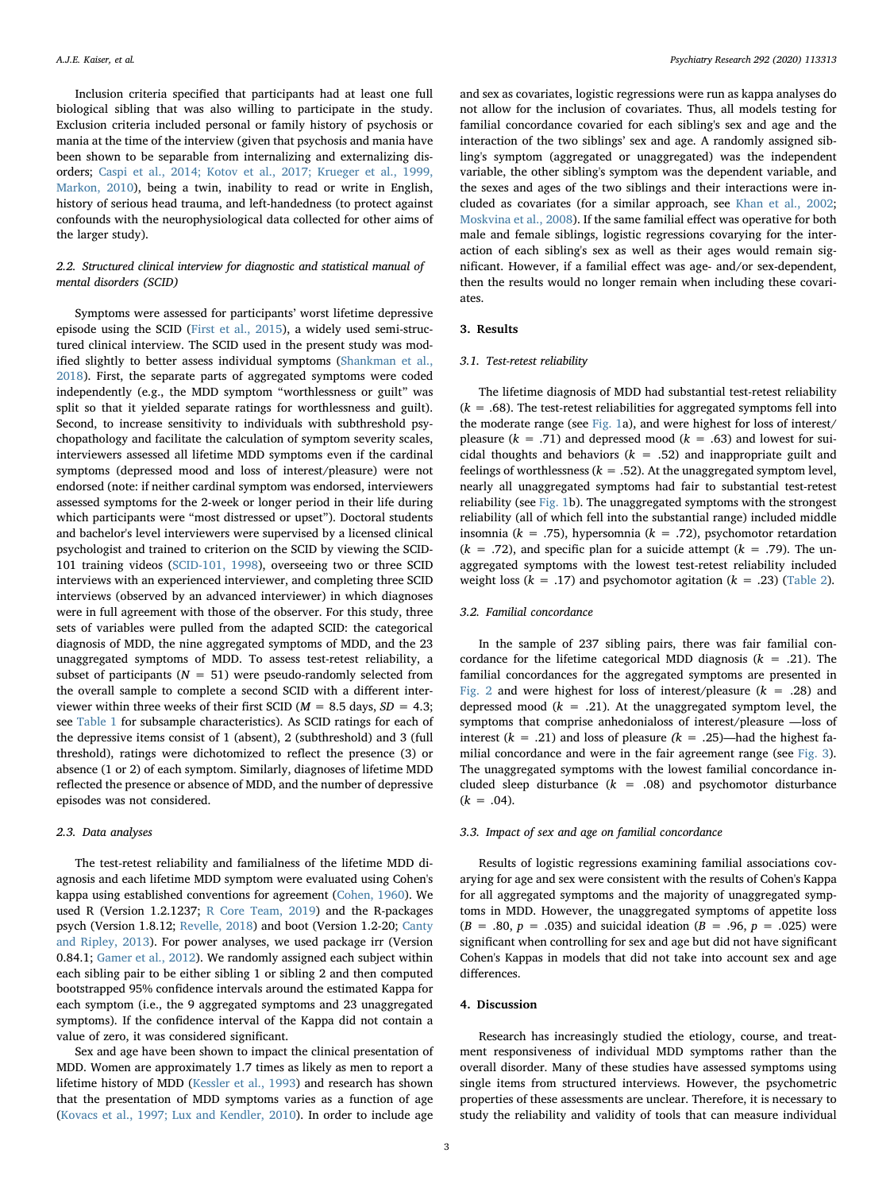Inclusion criteria specified that participants had at least one full biological sibling that was also willing to participate in the study. Exclusion criteria included personal or family history of psychosis or mania at the time of the interview (given that psychosis and mania have been shown to be separable from internalizing and externalizing disorders; [Caspi et al., 2014; Kotov et al., 2017; Krueger et al., 1999,](#page-5-16) [Markon, 2010](#page-5-16)), being a twin, inability to read or write in English, history of serious head trauma, and left-handedness (to protect against confounds with the neurophysiological data collected for other aims of the larger study).

# 2.2. Structured clinical interview for diagnostic and statistical manual of mental disorders (SCID)

Symptoms were assessed for participants' worst lifetime depressive episode using the SCID [\(First et al., 2015](#page-5-17)), a widely used semi-structured clinical interview. The SCID used in the present study was modified slightly to better assess individual symptoms [\(Shankman et al.,](#page-6-23) [2018\)](#page-6-23). First, the separate parts of aggregated symptoms were coded independently (e.g., the MDD symptom "worthlessness or guilt" was split so that it yielded separate ratings for worthlessness and guilt). Second, to increase sensitivity to individuals with subthreshold psychopathology and facilitate the calculation of symptom severity scales, interviewers assessed all lifetime MDD symptoms even if the cardinal symptoms (depressed mood and loss of interest/pleasure) were not endorsed (note: if neither cardinal symptom was endorsed, interviewers assessed symptoms for the 2-week or longer period in their life during which participants were "most distressed or upset"). Doctoral students and bachelor's level interviewers were supervised by a licensed clinical psychologist and trained to criterion on the SCID by viewing the SCID-101 training videos [\(SCID-101, 1998](#page-6-24)), overseeing two or three SCID interviews with an experienced interviewer, and completing three SCID interviews (observed by an advanced interviewer) in which diagnoses were in full agreement with those of the observer. For this study, three sets of variables were pulled from the adapted SCID: the categorical diagnosis of MDD, the nine aggregated symptoms of MDD, and the 23 unaggregated symptoms of MDD. To assess test-retest reliability, a subset of participants ( $N = 51$ ) were pseudo-randomly selected from the overall sample to complete a second SCID with a different interviewer within three weeks of their first SCID ( $M = 8.5$  days,  $SD = 4.3$ ; see [Table 1](#page-1-0) for subsample characteristics). As SCID ratings for each of the depressive items consist of 1 (absent), 2 (subthreshold) and 3 (full threshold), ratings were dichotomized to reflect the presence (3) or absence (1 or 2) of each symptom. Similarly, diagnoses of lifetime MDD reflected the presence or absence of MDD, and the number of depressive episodes was not considered.

#### 2.3. Data analyses

The test-retest reliability and familialness of the lifetime MDD diagnosis and each lifetime MDD symptom were evaluated using Cohen's kappa using established conventions for agreement ([Cohen, 1960\)](#page-5-18). We used R (Version 1.2.1237; [R Core Team, 2019](#page-6-25)) and the R-packages psych (Version 1.8.12; [Revelle, 2018\)](#page-6-26) and boot (Version 1.2-20; [Canty](#page-5-19) [and Ripley, 2013\)](#page-5-19). For power analyses, we used package irr (Version 0.84.1; [Gamer et al., 2012](#page-5-20)). We randomly assigned each subject within each sibling pair to be either sibling 1 or sibling 2 and then computed bootstrapped 95% confidence intervals around the estimated Kappa for each symptom (i.e., the 9 aggregated symptoms and 23 unaggregated symptoms). If the confidence interval of the Kappa did not contain a value of zero, it was considered significant.

Sex and age have been shown to impact the clinical presentation of MDD. Women are approximately 1.7 times as likely as men to report a lifetime history of MDD ([Kessler et al., 1993](#page-6-27)) and research has shown that the presentation of MDD symptoms varies as a function of age ([Kovacs et al., 1997; Lux and Kendler, 2010](#page-6-28)). In order to include age and sex as covariates, logistic regressions were run as kappa analyses do not allow for the inclusion of covariates. Thus, all models testing for familial concordance covaried for each sibling's sex and age and the interaction of the two siblings' sex and age. A randomly assigned sibling's symptom (aggregated or unaggregated) was the independent variable, the other sibling's symptom was the dependent variable, and the sexes and ages of the two siblings and their interactions were included as covariates (for a similar approach, see [Khan et al., 2002](#page-6-29); [Moskvina et al., 2008\)](#page-6-30). If the same familial effect was operative for both male and female siblings, logistic regressions covarying for the interaction of each sibling's sex as well as their ages would remain significant. However, if a familial effect was age- and/or sex-dependent, then the results would no longer remain when including these covariates.

# 3. Results

## 3.1. Test-retest reliability

The lifetime diagnosis of MDD had substantial test-retest reliability  $(k = .68)$ . The test-retest reliabilities for aggregated symptoms fell into the moderate range (see [Fig. 1a](#page-3-0)), and were highest for loss of interest/ pleasure ( $k = .71$ ) and depressed mood ( $k = .63$ ) and lowest for suicidal thoughts and behaviors ( $k = .52$ ) and inappropriate guilt and feelings of worthlessness ( $k = .52$ ). At the unaggregated symptom level, nearly all unaggregated symptoms had fair to substantial test-retest reliability (see [Fig. 1](#page-3-0)b). The unaggregated symptoms with the strongest reliability (all of which fell into the substantial range) included middle insomnia ( $k = .75$ ), hypersomnia ( $k = .72$ ), psychomotor retardation  $(k = .72)$ , and specific plan for a suicide attempt  $(k = .79)$ . The unaggregated symptoms with the lowest test-retest reliability included weight loss ( $k = .17$ ) and psychomotor agitation ( $k = .23$ ) ([Table 2](#page-3-1)).

### 3.2. Familial concordance

In the sample of 237 sibling pairs, there was fair familial concordance for the lifetime categorical MDD diagnosis  $(k = .21)$ . The familial concordances for the aggregated symptoms are presented in [Fig. 2](#page-3-2) and were highest for loss of interest/pleasure  $(k = .28)$  and depressed mood ( $k = .21$ ). At the unaggregated symptom level, the symptoms that comprise anhedonialoss of interest/pleasure —loss of interest ( $k = .21$ ) and loss of pleasure ( $k = .25$ )—had the highest familial concordance and were in the fair agreement range (see [Fig. 3](#page-4-0)). The unaggregated symptoms with the lowest familial concordance included sleep disturbance  $(k = .08)$  and psychomotor disturbance  $(k = .04)$ .

### 3.3. Impact of sex and age on familial concordance

Results of logistic regressions examining familial associations covarying for age and sex were consistent with the results of Cohen's Kappa for all aggregated symptoms and the majority of unaggregated symptoms in MDD. However, the unaggregated symptoms of appetite loss  $(B = .80, p = .035)$  and suicidal ideation  $(B = .96, p = .025)$  were significant when controlling for sex and age but did not have significant Cohen's Kappas in models that did not take into account sex and age differences.

# 4. Discussion

Research has increasingly studied the etiology, course, and treatment responsiveness of individual MDD symptoms rather than the overall disorder. Many of these studies have assessed symptoms using single items from structured interviews. However, the psychometric properties of these assessments are unclear. Therefore, it is necessary to study the reliability and validity of tools that can measure individual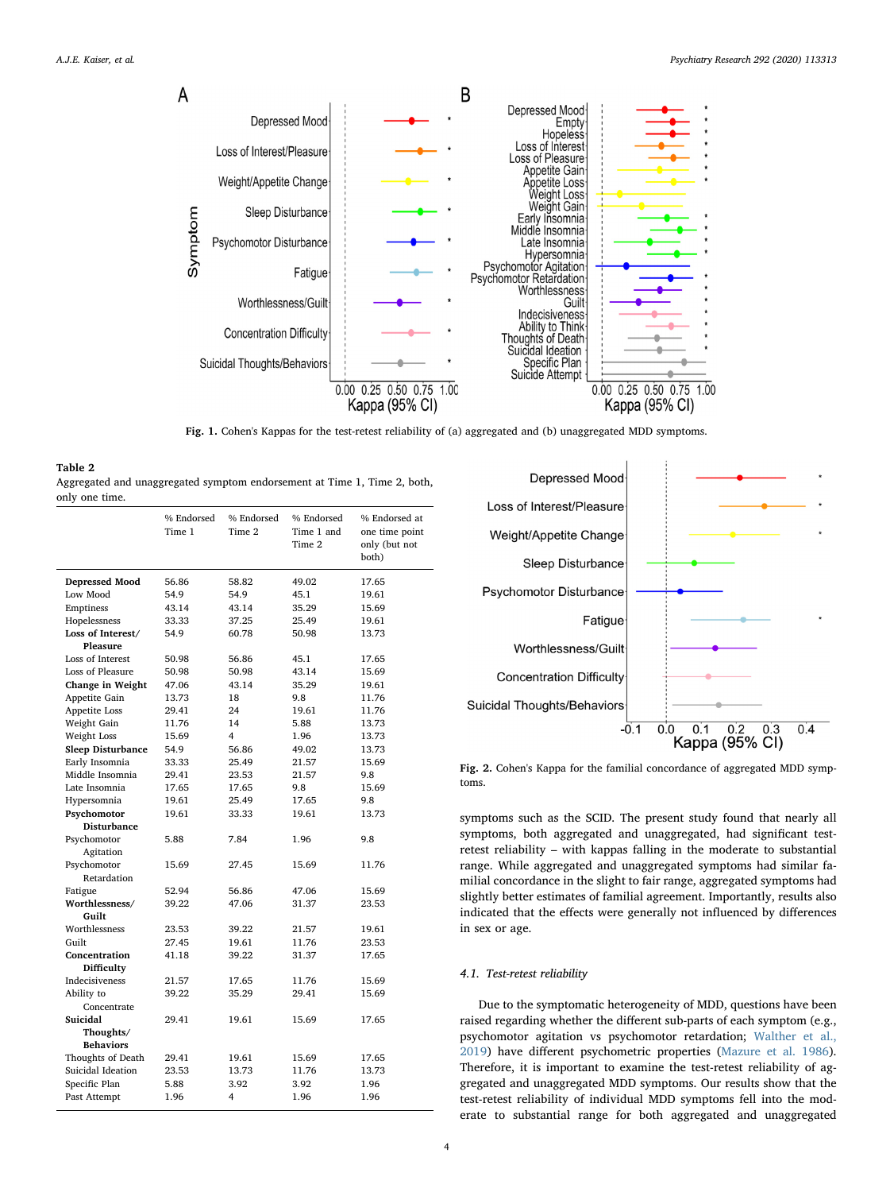<span id="page-3-0"></span>

Fig. 1. Cohen's Kappas for the test-retest reliability of (a) aggregated and (b) unaggregated MDD symptoms.

<span id="page-3-1"></span>

| Table 2                                                                  |
|--------------------------------------------------------------------------|
| Aggregated and unaggregated symptom endorsement at Time 1, Time 2, both, |
| only one time.                                                           |

|                          | % Endorsed<br>Time 1 | % Endorsed<br>Time 2 | % Endorsed<br>Time 1 and<br>Time 2 | % Endorsed at<br>one time point<br>only (but not<br>both) |
|--------------------------|----------------------|----------------------|------------------------------------|-----------------------------------------------------------|
| Depressed Mood           | 56.86                | 58.82                | 49.02                              | 17.65                                                     |
| Low Mood                 | 54.9                 | 54.9                 | 45.1                               | 19.61                                                     |
| Emptiness                | 43.14                | 43.14                | 35.29                              | 15.69                                                     |
| Hopelessness             | 33.33                | 37.25                | 25.49                              | 19.61                                                     |
| Loss of Interest/        | 54.9                 | 60.78                | 50.98                              | 13.73                                                     |
| Pleasure                 |                      |                      |                                    |                                                           |
| Loss of Interest         | 50.98                | 56.86                | 45.1                               | 17.65                                                     |
| Loss of Pleasure         | 50.98                | 50.98                | 43.14                              | 15.69                                                     |
| Change in Weight         | 47.06                | 43.14                | 35.29                              | 19.61                                                     |
| Appetite Gain            | 13.73                | 18                   | 9.8                                | 11.76                                                     |
| Appetite Loss            | 29.41                | 24                   | 19.61                              | 11.76                                                     |
| Weight Gain              | 11.76                | 14                   | 5.88                               | 13.73                                                     |
| Weight Loss              | 15.69                | 4                    | 1.96                               | 13.73                                                     |
| <b>Sleep Disturbance</b> | 54.9                 | 56.86                | 49.02                              | 13.73                                                     |
| Early Insomnia           | 33.33                | 25.49                | 21.57                              | 15.69                                                     |
| Middle Insomnia          | 29.41                | 23.53                | 21.57                              | 9.8                                                       |
| Late Insomnia            | 17.65                | 17.65                | 9.8                                | 15.69                                                     |
| Hypersomnia              | 19.61                | 25.49                | 17.65                              | 9.8                                                       |
| Psychomotor              | 19.61                | 33.33                | 19.61                              | 13.73                                                     |
| <b>Disturbance</b>       |                      |                      |                                    |                                                           |
| Psychomotor              | 5.88                 | 7.84                 | 1.96                               | 9.8                                                       |
| Agitation                |                      |                      |                                    |                                                           |
| Psychomotor              | 15.69                | 27.45                | 15.69                              | 11.76                                                     |
| Retardation              |                      |                      |                                    |                                                           |
| Fatigue                  | 52.94                | 56.86                | 47.06                              | 15.69                                                     |
| Worthlessness/           | 39.22                | 47.06                | 31.37                              | 23.53                                                     |
| Guilt                    |                      |                      |                                    |                                                           |
| Worthlessness            | 23.53                | 39.22                | 21.57                              | 19.61                                                     |
| Guilt                    | 27.45                | 19.61                | 11.76                              | 23.53                                                     |
| Concentration            | 41.18                | 39.22                | 31.37                              | 17.65                                                     |
| Difficulty               |                      |                      |                                    |                                                           |
| Indecisiveness           | 21.57                | 17.65                | 11.76                              | 15.69                                                     |
| Ability to               | 39.22                | 35.29                | 29.41                              | 15.69                                                     |
| Concentrate              |                      |                      |                                    |                                                           |
| Suicidal                 | 29.41                | 19.61                | 15.69                              | 17.65                                                     |
| Thoughts/                |                      |                      |                                    |                                                           |
| <b>Behaviors</b>         |                      |                      |                                    |                                                           |
| Thoughts of Death        | 29.41                | 19.61                | 15.69                              | 17.65                                                     |
| Suicidal Ideation        | 23.53                | 13.73                | 11.76                              | 13.73                                                     |
| Specific Plan            | 5.88                 | 3.92                 | 3.92                               | 1.96                                                      |
| Past Attempt             | 1.96                 | 4                    | 1.96                               | 1.96                                                      |
|                          |                      |                      |                                    |                                                           |

<span id="page-3-2"></span>

Fig. 2. Cohen's Kappa for the familial concordance of aggregated MDD symptoms.

symptoms such as the SCID. The present study found that nearly all symptoms, both aggregated and unaggregated, had significant testretest reliability – with kappas falling in the moderate to substantial range. While aggregated and unaggregated symptoms had similar familial concordance in the slight to fair range, aggregated symptoms had slightly better estimates of familial agreement. Importantly, results also indicated that the effects were generally not influenced by differences in sex or age.

# 4.1. Test-retest reliability

Due to the symptomatic heterogeneity of MDD, questions have been raised regarding whether the different sub-parts of each symptom (e.g., psychomotor agitation vs psychomotor retardation; [Walther et al.,](#page-6-31) [2019\)](#page-6-31) have different psychometric properties ([Mazure et al. 1986](#page-6-11)). Therefore, it is important to examine the test-retest reliability of aggregated and unaggregated MDD symptoms. Our results show that the test-retest reliability of individual MDD symptoms fell into the moderate to substantial range for both aggregated and unaggregated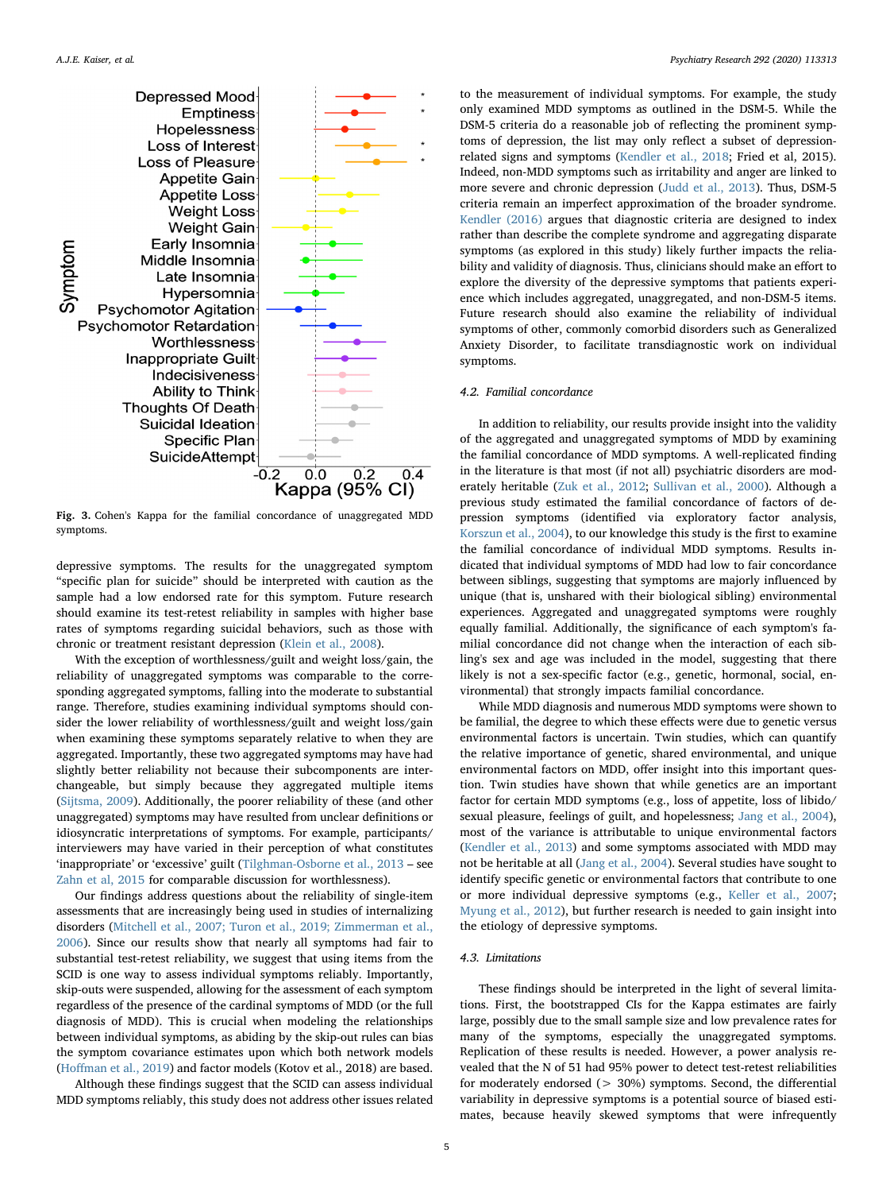<span id="page-4-0"></span>

Fig. 3. Cohen's Kappa for the familial concordance of unaggregated MDD symptoms.

depressive symptoms. The results for the unaggregated symptom "specific plan for suicide" should be interpreted with caution as the sample had a low endorsed rate for this symptom. Future research should examine its test-retest reliability in samples with higher base rates of symptoms regarding suicidal behaviors, such as those with chronic or treatment resistant depression [\(Klein et al., 2008](#page-6-32)).

With the exception of worthlessness/guilt and weight loss/gain, the reliability of unaggregated symptoms was comparable to the corresponding aggregated symptoms, falling into the moderate to substantial range. Therefore, studies examining individual symptoms should consider the lower reliability of worthlessness/guilt and weight loss/gain when examining these symptoms separately relative to when they are aggregated. Importantly, these two aggregated symptoms may have had slightly better reliability not because their subcomponents are interchangeable, but simply because they aggregated multiple items ([Sijtsma, 2009\)](#page-6-33). Additionally, the poorer reliability of these (and other unaggregated) symptoms may have resulted from unclear definitions or idiosyncratic interpretations of symptoms. For example, participants/ interviewers may have varied in their perception of what constitutes 'inappropriate' or 'excessive' guilt ([Tilghman-Osborne et al., 2013](#page-6-34) – see [Zahn et al, 2015](#page-6-35) for comparable discussion for worthlessness).

Our findings address questions about the reliability of single-item assessments that are increasingly being used in studies of internalizing disorders ([Mitchell et al., 2007; Turon et al., 2019; Zimmerman et al.,](#page-6-36) [2006\)](#page-6-36). Since our results show that nearly all symptoms had fair to substantial test-retest reliability, we suggest that using items from the SCID is one way to assess individual symptoms reliably. Importantly, skip-outs were suspended, allowing for the assessment of each symptom regardless of the presence of the cardinal symptoms of MDD (or the full diagnosis of MDD). This is crucial when modeling the relationships between individual symptoms, as abiding by the skip-out rules can bias the symptom covariance estimates upon which both network models (Hoff[man et al., 2019](#page-5-21)) and factor models (Kotov et al., 2018) are based.

Although these findings suggest that the SCID can assess individual MDD symptoms reliably, this study does not address other issues related

to the measurement of individual symptoms. For example, the study only examined MDD symptoms as outlined in the DSM-5. While the DSM-5 criteria do a reasonable job of reflecting the prominent symptoms of depression, the list may only reflect a subset of depressionrelated signs and symptoms [\(Kendler et al., 2018;](#page-6-37) Fried et al, 2015). Indeed, non-MDD symptoms such as irritability and anger are linked to more severe and chronic depression ([Judd et al., 2013](#page-5-22)). Thus, DSM-5 criteria remain an imperfect approximation of the broader syndrome. [Kendler \(2016\)](#page-6-38) argues that diagnostic criteria are designed to index rather than describe the complete syndrome and aggregating disparate symptoms (as explored in this study) likely further impacts the reliability and validity of diagnosis. Thus, clinicians should make an effort to explore the diversity of the depressive symptoms that patients experience which includes aggregated, unaggregated, and non-DSM-5 items. Future research should also examine the reliability of individual symptoms of other, commonly comorbid disorders such as Generalized Anxiety Disorder, to facilitate transdiagnostic work on individual symptoms.

#### 4.2. Familial concordance

In addition to reliability, our results provide insight into the validity of the aggregated and unaggregated symptoms of MDD by examining the familial concordance of MDD symptoms. A well-replicated finding in the literature is that most (if not all) psychiatric disorders are moderately heritable ([Zuk et al., 2012](#page-6-39); [Sullivan et al., 2000](#page-6-40)). Although a previous study estimated the familial concordance of factors of depression symptoms (identified via exploratory factor analysis, [Korszun et al., 2004](#page-6-18)), to our knowledge this study is the first to examine the familial concordance of individual MDD symptoms. Results indicated that individual symptoms of MDD had low to fair concordance between siblings, suggesting that symptoms are majorly influenced by unique (that is, unshared with their biological sibling) environmental experiences. Aggregated and unaggregated symptoms were roughly equally familial. Additionally, the significance of each symptom's familial concordance did not change when the interaction of each sibling's sex and age was included in the model, suggesting that there likely is not a sex-specific factor (e.g., genetic, hormonal, social, environmental) that strongly impacts familial concordance.

While MDD diagnosis and numerous MDD symptoms were shown to be familial, the degree to which these effects were due to genetic versus environmental factors is uncertain. Twin studies, which can quantify the relative importance of genetic, shared environmental, and unique environmental factors on MDD, offer insight into this important question. Twin studies have shown that while genetics are an important factor for certain MDD symptoms (e.g., loss of appetite, loss of libido/ sexual pleasure, feelings of guilt, and hopelessness; [Jang et al., 2004](#page-5-23)), most of the variance is attributable to unique environmental factors ([Kendler et al., 2013](#page-6-41)) and some symptoms associated with MDD may not be heritable at all ([Jang et al., 2004\)](#page-5-23). Several studies have sought to identify specific genetic or environmental factors that contribute to one or more individual depressive symptoms (e.g., [Keller et al., 2007](#page-5-4); [Myung et al., 2012\)](#page-6-42), but further research is needed to gain insight into the etiology of depressive symptoms.

# 4.3. Limitations

These findings should be interpreted in the light of several limitations. First, the bootstrapped CIs for the Kappa estimates are fairly large, possibly due to the small sample size and low prevalence rates for many of the symptoms, especially the unaggregated symptoms. Replication of these results is needed. However, a power analysis revealed that the N of 51 had 95% power to detect test-retest reliabilities for moderately endorsed (> 30%) symptoms. Second, the differential variability in depressive symptoms is a potential source of biased estimates, because heavily skewed symptoms that were infrequently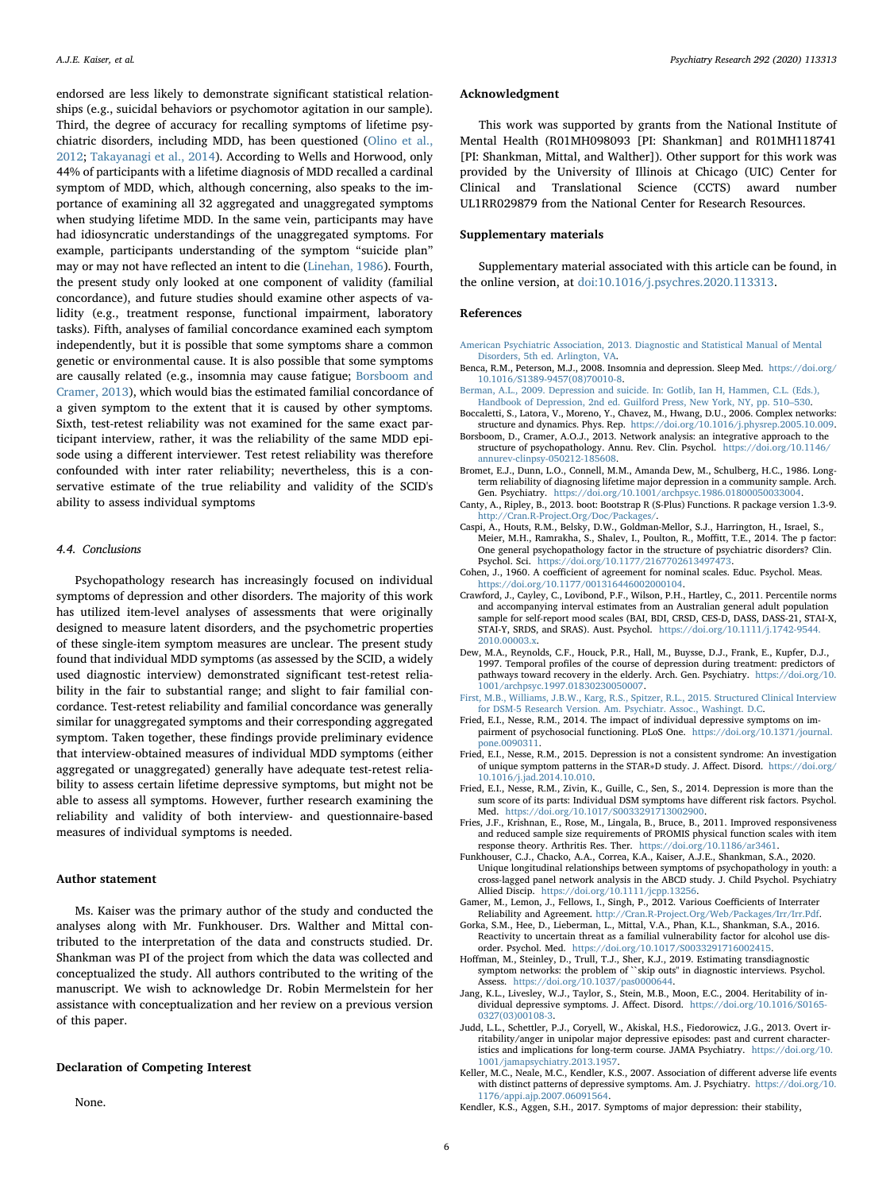endorsed are less likely to demonstrate significant statistical relationships (e.g., suicidal behaviors or psychomotor agitation in our sample). Third, the degree of accuracy for recalling symptoms of lifetime psychiatric disorders, including MDD, has been questioned [\(Olino et al.,](#page-6-43) [2012;](#page-6-43) [Takayanagi et al., 2014](#page-6-44)). According to Wells and Horwood, only 44% of participants with a lifetime diagnosis of MDD recalled a cardinal symptom of MDD, which, although concerning, also speaks to the importance of examining all 32 aggregated and unaggregated symptoms when studying lifetime MDD. In the same vein, participants may have had idiosyncratic understandings of the unaggregated symptoms. For example, participants understanding of the symptom "suicide plan" may or may not have reflected an intent to die [\(Linehan, 1986\)](#page-6-45). Fourth, the present study only looked at one component of validity (familial concordance), and future studies should examine other aspects of validity (e.g., treatment response, functional impairment, laboratory tasks). Fifth, analyses of familial concordance examined each symptom independently, but it is possible that some symptoms share a common genetic or environmental cause. It is also possible that some symptoms are causally related (e.g., insomnia may cause fatigue; [Borsboom and](#page-5-10) [Cramer, 2013\)](#page-5-10), which would bias the estimated familial concordance of a given symptom to the extent that it is caused by other symptoms. Sixth, test-retest reliability was not examined for the same exact participant interview, rather, it was the reliability of the same MDD episode using a different interviewer. Test retest reliability was therefore confounded with inter rater reliability; nevertheless, this is a conservative estimate of the true reliability and validity of the SCID's ability to assess individual symptoms

## 4.4. Conclusions

Psychopathology research has increasingly focused on individual symptoms of depression and other disorders. The majority of this work has utilized item-level analyses of assessments that were originally designed to measure latent disorders, and the psychometric properties of these single-item symptom measures are unclear. The present study found that individual MDD symptoms (as assessed by the SCID, a widely used diagnostic interview) demonstrated significant test-retest reliability in the fair to substantial range; and slight to fair familial concordance. Test-retest reliability and familial concordance was generally similar for unaggregated symptoms and their corresponding aggregated symptom. Taken together, these findings provide preliminary evidence that interview-obtained measures of individual MDD symptoms (either aggregated or unaggregated) generally have adequate test-retest reliability to assess certain lifetime depressive symptoms, but might not be able to assess all symptoms. However, further research examining the reliability and validity of both interview- and questionnaire-based measures of individual symptoms is needed.

## Author statement

Ms. Kaiser was the primary author of the study and conducted the analyses along with Mr. Funkhouser. Drs. Walther and Mittal contributed to the interpretation of the data and constructs studied. Dr. Shankman was PI of the project from which the data was collected and conceptualized the study. All authors contributed to the writing of the manuscript. We wish to acknowledge Dr. Robin Mermelstein for her assistance with conceptualization and her review on a previous version of this paper.

#### Declaration of Competing Interest

None.

#### Acknowledgment

This work was supported by grants from the National Institute of Mental Health (R01MH098093 [PI: Shankman] and R01MH118741 [PI: Shankman, Mittal, and Walther]). Other support for this work was provided by the University of Illinois at Chicago (UIC) Center for Clinical and Translational Science (CCTS) award number UL1RR029879 from the National Center for Research Resources.

## Supplementary materials

Supplementary material associated with this article can be found, in the online version, at [doi:10.1016/j.psychres.2020.113313.](https://doi.org/10.1016/j.psychres.2020.113313)

#### References

- <span id="page-5-1"></span>[American Psychiatric Association, 2013. Diagnostic and Statistical Manual of Mental](http://refhub.elsevier.com/S0165-1781(20)31157-4/sbref0001) [Disorders, 5th ed. Arlington, VA.](http://refhub.elsevier.com/S0165-1781(20)31157-4/sbref0001)
- <span id="page-5-8"></span>Benca, R.M., Peterson, M.J., 2008. Insomnia and depression. Sleep Med. [https://doi.org/](https://doi.org/10.1016/S1389-9457(08)70010-8) [10.1016/S1389-9457\(08\)70010-8.](https://doi.org/10.1016/S1389-9457(08)70010-8)
- <span id="page-5-0"></span>[Berman, A.L., 2009. Depression and suicide. In: Gotlib, Ian H, Hammen, C.L. \(Eds.\),](http://refhub.elsevier.com/S0165-1781(20)31157-4/sbref0005) [Handbook of Depression, 2nd ed. Guilford Press, New York, NY, pp. 510](http://refhub.elsevier.com/S0165-1781(20)31157-4/sbref0005)–530.
- <span id="page-5-11"></span>Boccaletti, S., Latora, V., Moreno, Y., Chavez, M., Hwang, D.U., 2006. Complex networks: structure and dynamics. Phys. Rep. [https://doi.org/10.1016/j.physrep.2005.10.009.](https://doi.org/10.1016/j.physrep.2005.10.009)
- <span id="page-5-10"></span>Borsboom, D., Cramer, A.O.J., 2013. Network analysis: an integrative approach to the structure of psychopathology. Annu. Rev. Clin. Psychol. [https://doi.org/10.1146/](https://doi.org/10.1146/annurev-clinpsy-050212-185608) [annurev-clinpsy-050212-185608.](https://doi.org/10.1146/annurev-clinpsy-050212-185608)
- <span id="page-5-2"></span>Bromet, E.J., Dunn, L.O., Connell, M.M., Amanda Dew, M., Schulberg, H.C., 1986. Longterm reliability of diagnosing lifetime major depression in a community sample. Arch. Gen. Psychiatry. [https://doi.org/10.1001/archpsyc.1986.01800050033004.](https://doi.org/10.1001/archpsyc.1986.01800050033004)
- <span id="page-5-19"></span>Canty, A., Ripley, B., 2013. boot: Bootstrap R (S-Plus) Functions. R package version 1.3-9. <http://Cran.R-Project.Org/Doc/Packages/>.
- <span id="page-5-16"></span>Caspi, A., Houts, R.M., Belsky, D.W., Goldman-Mellor, S.J., Harrington, H., Israel, S., Meier, M.H., Ramrakha, S., Shalev, I., Poulton, R., Moffitt, T.E., 2014. The p factor: One general psychopathology factor in the structure of psychiatric disorders? Clin. Psychol. Sci. [https://doi.org/10.1177/2167702613497473.](https://doi.org/10.1177/2167702613497473)
- <span id="page-5-18"></span>Cohen, J., 1960. A coefficient of agreement for nominal scales. Educ. Psychol. Meas. [https://doi.org/10.1177/001316446002000104.](https://doi.org/10.1177/001316446002000104)
- <span id="page-5-15"></span>Crawford, J., Cayley, C., Lovibond, P.F., Wilson, P.H., Hartley, C., 2011. Percentile norms and accompanying interval estimates from an Australian general adult population sample for self-report mood scales (BAI, BDI, CRSD, CES-D, DASS, DASS-21, STAI-X, STAI-Y, SRDS, and SRAS). Aust. Psychol. [https://doi.org/10.1111/j.1742-9544.](https://doi.org/10.1111/j.1742-9544.2010.00003.x) [2010.00003.x.](https://doi.org/10.1111/j.1742-9544.2010.00003.x)
- <span id="page-5-9"></span>Dew, M.A., Reynolds, C.F., Houck, P.R., Hall, M., Buysse, D.J., Frank, E., Kupfer, D.J., 1997. Temporal profiles of the course of depression during treatment: predictors of pathways toward recovery in the elderly. Arch. Gen. Psychiatry. [https://doi.org/10.](https://doi.org/10.1001/archpsyc.1997.01830230050007) [1001/archpsyc.1997.01830230050007](https://doi.org/10.1001/archpsyc.1997.01830230050007).
- <span id="page-5-17"></span>[First, M.B., Williams, J.B.W., Karg, R.S., Spitzer, R.L., 2015. Structured Clinical Interview](http://refhub.elsevier.com/S0165-1781(20)31157-4/sbref0016) [for DSM-5 Research Version. Am. Psychiatr. Assoc., Washingt. D.C](http://refhub.elsevier.com/S0165-1781(20)31157-4/sbref0016). Fried, E.I., Nesse, R.M., 2014. The impact of individual depressive symptoms on im-
- <span id="page-5-7"></span>pairment of psychosocial functioning. PLoS One. [https://doi.org/10.1371/journal.](https://doi.org/10.1371/journal.pone.0090311) [pone.0090311](https://doi.org/10.1371/journal.pone.0090311).
- <span id="page-5-3"></span>Fried, E.I., Nesse, R.M., 2015. Depression is not a consistent syndrome: An investigation of unique symptom patterns in the STAR∗D study. J. Affect. Disord. [https://doi.org/](https://doi.org/10.1016/j.jad.2014.10.010) [10.1016/j.jad.2014.10.010.](https://doi.org/10.1016/j.jad.2014.10.010)
- <span id="page-5-6"></span>Fried, E.I., Nesse, R.M., Zivin, K., Guille, C., Sen, S., 2014. Depression is more than the sum score of its parts: Individual DSM symptoms have different risk factors. Psychol. Med. <https://doi.org/10.1017/S0033291713002900>.
- <span id="page-5-13"></span>Fries, J.F., Krishnan, E., Rose, M., Lingala, B., Bruce, B., 2011. Improved responsiveness and reduced sample size requirements of PROMIS physical function scales with item response theory. Arthritis Res. Ther. [https://doi.org/10.1186/ar3461.](https://doi.org/10.1186/ar3461)
- <span id="page-5-12"></span>Funkhouser, C.J., Chacko, A.A., Correa, K.A., Kaiser, A.J.E., Shankman, S.A., 2020. Unique longitudinal relationships between symptoms of psychopathology in youth: a cross-lagged panel network analysis in the ABCD study. J. Child Psychol. Psychiatry Allied Discip. <https://doi.org/10.1111/jcpp.13256>.
- <span id="page-5-20"></span>Gamer, M., Lemon, J., Fellows, I., Singh, P., 2012. Various Coefficients of Interrater Reliability and Agreement. <http://Cran.R-Project.Org/Web/Packages/Irr/Irr.Pdf>.
- <span id="page-5-14"></span>Gorka, S.M., Hee, D., Lieberman, L., Mittal, V.A., Phan, K.L., Shankman, S.A., 2016. Reactivity to uncertain threat as a familial vulnerability factor for alcohol use disorder. Psychol. Med. <https://doi.org/10.1017/S0033291716002415>. Hoffman, M., Steinley, D., Trull, T.J., Sher, K.J., 2019. Estimating transdiagnostic
- <span id="page-5-21"></span>symptom networks: the problem of ``skip outs'' in diagnostic interviews. Psychol. Assess. <https://doi.org/10.1037/pas0000644>.
- <span id="page-5-23"></span>Jang, K.L., Livesley, W.J., Taylor, S., Stein, M.B., Moon, E.C., 2004. Heritability of individual depressive symptoms. J. Affect. Disord. [https://doi.org/10.1016/S0165-](https://doi.org/10.1016/S0165-0327(03)00108-3) [0327\(03\)00108-3](https://doi.org/10.1016/S0165-0327(03)00108-3).
- <span id="page-5-22"></span>Judd, L.L., Schettler, P.J., Coryell, W., Akiskal, H.S., Fiedorowicz, J.G., 2013. Overt irritability/anger in unipolar major depressive episodes: past and current characteristics and implications for long-term course. JAMA Psychiatry. [https://doi.org/10.](https://doi.org/10.1001/jamapsychiatry.2013.1957) [1001/jamapsychiatry.2013.1957](https://doi.org/10.1001/jamapsychiatry.2013.1957).
- <span id="page-5-4"></span>Keller, M.C., Neale, M.C., Kendler, K.S., 2007. Association of different adverse life events with distinct patterns of depressive symptoms. Am. J. Psychiatry. [https://doi.org/10.](https://doi.org/10.1176/appi.ajp.2007.06091564) [1176/appi.ajp.2007.06091564](https://doi.org/10.1176/appi.ajp.2007.06091564).
- <span id="page-5-5"></span>Kendler, K.S., Aggen, S.H., 2017. Symptoms of major depression: their stability,